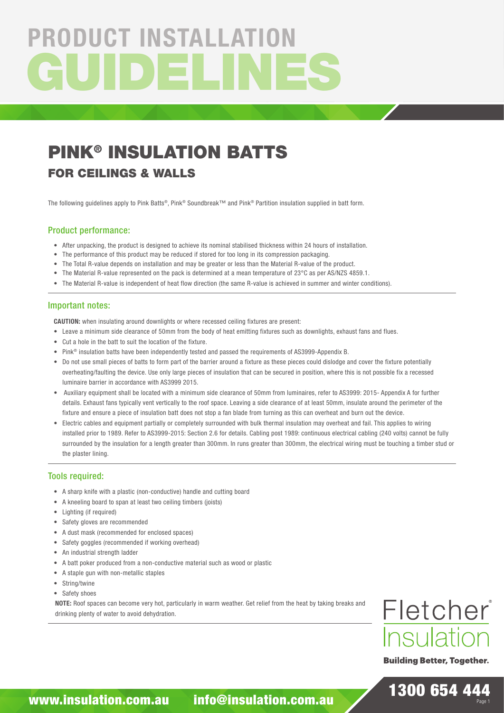# GUIDELINES PRODUCT INSTALLATION

## PINK® INSULATION BATTS

### FOR CEILINGS & WALLS

The following guidelines apply to Pink Batts®, Pink® Soundbreak™ and Pink® Partition insulation supplied in batt form.

#### Product performance:

- After unpacking, the product is designed to achieve its nominal stabilised thickness within 24 hours of installation.
- The performance of this product may be reduced if stored for too long in its compression packaging.
- The Total R-value depends on installation and may be greater or less than the Material R-value of the product.
- The Material R-value represented on the pack is determined at a mean temperature of 23°C as per AS/NZS 4859.1.
- The Material R-value is independent of heat flow direction (the same R-value is achieved in summer and winter conditions).

#### Important notes:

CAUTION: when insulating around downlights or where recessed ceiling fixtures are present:

- Leave a minimum side clearance of 50mm from the body of heat emitting fixtures such as downlights, exhaust fans and flues.
- Cut a hole in the batt to suit the location of the fixture.
- Pink® insulation batts have been independently tested and passed the requirements of AS3999-Appendix B.
- Do not use small pieces of batts to form part of the barrier around a fixture as these pieces could dislodge and cover the fixture potentially overheating/faulting the device. Use only large pieces of insulation that can be secured in position, where this is not possible fix a recessed luminaire barrier in accordance with AS3999 2015.
- Auxiliary equipment shall be located with a minimum side clearance of 50mm from luminaires, refer to AS3999: 2015- Appendix A for further details. Exhaust fans typically vent vertically to the roof space. Leaving a side clearance of at least 50mm, insulate around the perimeter of the fixture and ensure a piece of insulation batt does not stop a fan blade from turning as this can overheat and burn out the device.
- Electric cables and equipment partially or completely surrounded with bulk thermal insulation may overheat and fail. This applies to wiring installed prior to 1989. Refer to AS3999-2015: Section 2.6 for details. Cabling post 1989: continuous electrical cabling (240 volts) cannot be fully surrounded by the insulation for a length greater than 300mm. In runs greater than 300mm, the electrical wiring must be touching a timber stud or the plaster lining.

#### Tools required:

- A sharp knife with a plastic (non-conductive) handle and cutting board
- A kneeling board to span at least two ceiling timbers (joists)
- Lighting (if required)
- Safety gloves are recommended
- A dust mask (recommended for enclosed spaces)
- Safety goggles (recommended if working overhead)
- An industrial strength ladder
- A batt poker produced from a non-conductive material such as wood or plastic
- A staple gun with non-metallic staples
- String/twine
- Safety shoes

NOTE: Roof spaces can become very hot, particularly in warm weather. Get relief from the heat by taking breaks and drinking plenty of water to avoid dehydration.



**Building Better, Together.** 

1300 654 444 Page 1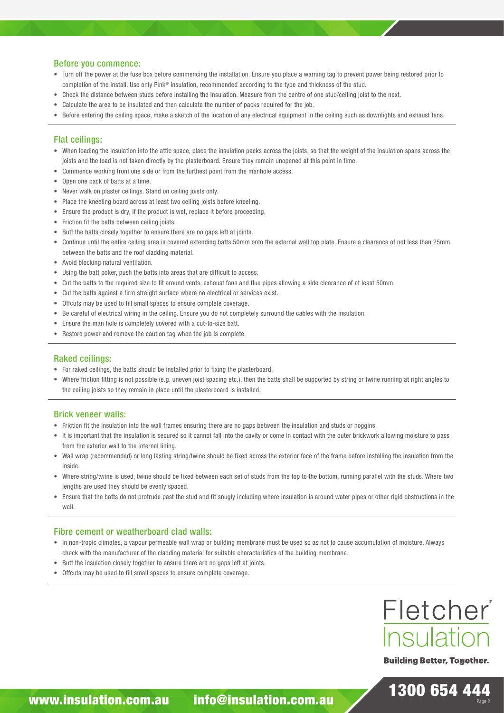#### Before you commence:

- Turn off the power at the fuse box before commencing the installation. Ensure you place a warning tag to prevent power being restored prior to completion of the install. Use only Pink® insulation, recommended according to the type and thickness of the stud.
- Check the distance between studs before installing the insulation. Measure from the centre of one stud/ceiling joist to the next.
- Calculate the area to be insulated and then calculate the number of packs required for the job.
- Before entering the ceiling space, make a sketch of the location of any electrical equipment in the ceiling such as downlights and exhaust fans.

#### Flat ceilings:

- When loading the insulation into the attic space, place the insulation packs across the joists, so that the weight of the insulation spans across the joists and the load is not taken directly by the plasterboard. Ensure they remain unopened at this point in time.
- Commence working from one side or from the furthest point from the manhole access.
- Open one pack of batts at a time.
- Never walk on plaster ceilings. Stand on ceiling joists only.
- Place the kneeling board across at least two ceiling joists before kneeling.
- Ensure the product is dry, if the product is wet, replace it before proceeding.
- Friction fit the batts between ceiling joists.
- Butt the batts closely together to ensure there are no gaps left at joints.
- Continue until the entire ceiling area is covered extending batts 50mm onto the external wall top plate. Ensure a clearance of not less than 25mm between the batts and the roof cladding material.
- Avoid blocking natural ventilation.
- Using the batt poker, push the batts into areas that are difficult to access.
- Cut the batts to the required size to fit around vents, exhaust fans and flue pipes allowing a side clearance of at least 50mm.
- Cut the batts against a firm straight surface where no electrical or services exist.
- Offcuts may be used to fill small spaces to ensure complete coverage.
- Be careful of electrical wiring in the ceiling. Ensure you do not completely surround the cables with the insulation.
- Ensure the man hole is completely covered with a cut-to-size batt.
- Restore power and remove the caution tag when the job is complete.

#### Raked ceilings:

- For raked ceilings, the batts should be installed prior to fixing the plasterboard.
- Where friction fitting is not possible (e.g. uneven joist spacing etc.), then the batts shall be supported by string or twine running at right angles to the ceiling joists so they remain in place until the plasterboard is installed.

#### Brick veneer walls:

- Friction fit the insulation into the wall frames ensuring there are no gaps between the insulation and studs or noggins.
- It is important that the insulation is secured so it cannot fall into the cavity or come in contact with the outer brickwork allowing moisture to pass from the exterior wall to the internal lining.
- Wall wrap (recommended) or long lasting string/twine should be fixed across the exterior face of the frame before installing the insulation from the inside.
- Where string/twine is used, twine should be fixed between each set of studs from the top to the bottom, running parallel with the studs. Where two lengths are used they should be evenly spaced.
- Ensure that the batts do not protrude past the stud and fit snugly including where insulation is around water pipes or other rigid obstructions in the wall.

#### Fibre cement or weatherboard clad walls:

- In non-tropic climates, a vapour permeable wall wrap or building membrane must be used so as not to cause accumulation of moisture. Always check with the manufacturer of the cladding material for suitable characteristics of the building membrane.
- Butt the insulation closely together to ensure there are no gaps left at joints.
- Offcuts may be used to fill small spaces to ensure complete coverage.



**Building Better, Together.**